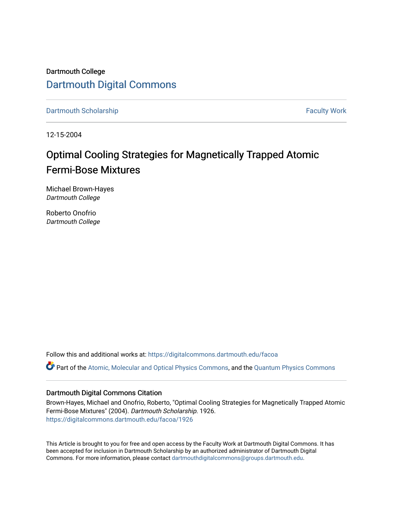Dartmouth College [Dartmouth Digital Commons](https://digitalcommons.dartmouth.edu/) 

[Dartmouth Scholarship](https://digitalcommons.dartmouth.edu/facoa) Faculty Work

12-15-2004

## Optimal Cooling Strategies for Magnetically Trapped Atomic Fermi-Bose Mixtures

Michael Brown-Hayes Dartmouth College

Roberto Onofrio Dartmouth College

Follow this and additional works at: [https://digitalcommons.dartmouth.edu/facoa](https://digitalcommons.dartmouth.edu/facoa?utm_source=digitalcommons.dartmouth.edu%2Ffacoa%2F1926&utm_medium=PDF&utm_campaign=PDFCoverPages)

Part of the [Atomic, Molecular and Optical Physics Commons,](http://network.bepress.com/hgg/discipline/195?utm_source=digitalcommons.dartmouth.edu%2Ffacoa%2F1926&utm_medium=PDF&utm_campaign=PDFCoverPages) and the [Quantum Physics Commons](http://network.bepress.com/hgg/discipline/206?utm_source=digitalcommons.dartmouth.edu%2Ffacoa%2F1926&utm_medium=PDF&utm_campaign=PDFCoverPages) 

## Dartmouth Digital Commons Citation

Brown-Hayes, Michael and Onofrio, Roberto, "Optimal Cooling Strategies for Magnetically Trapped Atomic Fermi-Bose Mixtures" (2004). Dartmouth Scholarship. 1926. [https://digitalcommons.dartmouth.edu/facoa/1926](https://digitalcommons.dartmouth.edu/facoa/1926?utm_source=digitalcommons.dartmouth.edu%2Ffacoa%2F1926&utm_medium=PDF&utm_campaign=PDFCoverPages) 

This Article is brought to you for free and open access by the Faculty Work at Dartmouth Digital Commons. It has been accepted for inclusion in Dartmouth Scholarship by an authorized administrator of Dartmouth Digital Commons. For more information, please contact [dartmouthdigitalcommons@groups.dartmouth.edu](mailto:dartmouthdigitalcommons@groups.dartmouth.edu).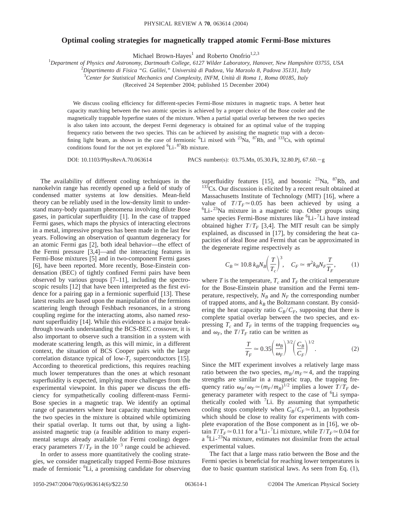## **Optimal cooling strategies for magnetically trapped atomic Fermi-Bose mixtures**

Michael Brown-Hayes<sup>1</sup> and Roberto Onofrio<sup>1,2,3</sup>

1 *Department of Physics and Astronomy, Dartmouth College, 6127 Wilder Laboratory, Hanover, New Hampshire 03755, USA*

2 *Dipartimento di Fisica "G. Galilei," Università di Padova, Via Marzolo 8, Padova 35131, Italy*

3 *Center for Statistical Mechanics and Complexity, INFM, Unità di Roma 1, Roma 00185, Italy*

(Received 24 September 2004; published 15 December 2004)

We discuss cooling efficiency for different-species Fermi-Bose mixtures in magnetic traps. A better heat capacity matching between the two atomic species is achieved by a proper choice of the Bose cooler and the magnetically trappable hyperfine states of the mixture. When a partial spatial overlap between the two species is also taken into account, the deepest Fermi degeneracy is obtained for an optimal value of the trapping frequency ratio between the two species. This can be achieved by assisting the magnetic trap with a deconfining light beam, as shown in the case of fermionic  ${}^{6}Li$  mixed with  ${}^{23}Na$ ,  ${}^{87}Rb$ , and  ${}^{133}Cs$ , with optimal conditions found for the not yet explored  ${}^{6}Li-{}^{87}Rb$  mixture.

DOI: 10.1103/PhysRevA.70.063614 PACS number(s): 03.75.Mn, 05.30.Fk, 32.80.Pj, 67.60. $-g$ 

The availability of different cooling techniques in the nanokelvin range has recently opened up a field of study of condensed matter systems at low densities. Mean-field theory can be reliably used in the low-density limit to understand many-body quantum phenomena involving dilute Bose gases, in particular superfluidity [1]. In the case of trapped Fermi gases, which maps the physics of interacting electrons in a metal, impressive progress has been made in the last few years. Following an observation of quantum degeneracy for an atomic Fermi gas [2], both ideal behavior—the effect of the Fermi pressure [3,4]—and the interacting features in Fermi-Bose mixtures [5] and in two-component Fermi gases [6], have been reported. More recently, Bose-Einstein condensation (BEC) of tightly confined Fermi pairs have been observed by various groups [7–11], including the spectroscopic results [12] that have been interpreted as the first evidence for a pairing gap in a fermionic superfluid [13]. These latest results are based upon the manipulation of the fermions scattering length through Feshbach resonances, in a strong coupling regime for the interacting atoms, also named *resonant* superfluidity [14]. While this evidence is a major breakthrough towards understanding the BCS-BEC crossover, it is also important to observe such a transition in a system with moderate scattering length, as this will mimic, in a different context, the situation of BCS Cooper pairs with the large correlation distance typical of low- $T_c$  superconductors [15]. According to theoretical predictions, this requires reaching much lower temperatures than the ones at which resonant superfluidity is expected, implying more challenges from the experimental viewpoint. In this paper we discuss the efficiency for sympathetically cooling different-mass Fermi-Bose species in a magnetic trap. We identify an optimal range of parameters where heat capacity matching between the two species in the mixture is obtained while optimizing their spatial overlap. It turns out that, by using a lightassisted magnetic trap (a feasible addition to many experimental setups already available for Fermi cooling) degeneracy parameters  $T/T_F$  in the 10<sup>-3</sup> range could be achieved.

In order to assess more quantitatively the cooling strategies, we consider magnetically trapped Fermi-Bose mixtures made of fermionic <sup>6</sup>Li, a promising candidate for observing

superfluidity features [15], and bosonic  $^{23}$ Na,  $^{87}$ Rb, and <sup>133</sup>Cs. Our discussion is elicited by a recent result obtained at Massachusetts Institute of Technology (MIT) [16], where a value of  $T/T_F \approx 0.05$  has been achieved by using a  ${}^{6}$ Li- ${}^{23}$ Na mixture in a magnetic trap. Other groups using same species Fermi-Bose mixtures like <sup>6</sup>Li-<sup>7</sup>Li have instead obtained higher  $T/T_F$  [3,4]. The MIT result can be simply explained, as discussed in [17], by considering the heat capacities of ideal Bose and Fermi that can be approximated in the degenerate regime respectively as

$$
C_B \simeq 10.8 \ k_B N_B \left(\frac{T}{T_c}\right)^3, \quad C_F \simeq \pi^2 k_B N_F \frac{T}{T_F}, \tag{1}
$$

where *T* is the temperature,  $T_c$  and  $T_F$  the critical temperature for the Bose-Einstein phase transition and the Fermi temperature, respectively,  $N_B$  and  $N_F$  the corresponding number of trapped atoms, and  $k_B$  the Boltzmann constant. By considering the heat capacity ratio  $C_B/C_F$ , supposing that there is complete spatial overlap between the two species, and expressing  $T_c$  and  $T_F$  in terms of the trapping frequencies  $\omega_B$ and  $\omega_F$ , the  $T/T_F$  ratio can be written as

$$
\frac{T}{T_F} \simeq 0.35 \left(\frac{\omega_B}{\omega_F}\right)^{3/2} \left(\frac{C_B}{C_F}\right)^{1/2}.
$$
 (2)

Since the MIT experiment involves a relatively large mass ratio between the two species,  $m_B/m_F \approx 4$ , and the trapping strengths are similar in a magnetic trap, the trapping frequency ratio  $\omega_B / \omega_F \simeq (m_F / m_B)^{1/2}$  implies a lower  $T / T_F$  degeneracy parameter with respect to the case of <sup>6</sup>Li sympathetically cooled with <sup>7</sup>Li. By assuming that sympathetic cooling stops completely when  $C_B/C_F \approx 0.1$ , an hypothesis which should be close to reality for experiments with complete evaporation of the Bose component as in [16], we obtain  $T/T_F \approx 0.11$  for a <sup>6</sup>Li-<sup>7</sup>Li mixture, while  $T/T_F \approx 0.04$  for a <sup>6</sup>Li-<sup>23</sup>Na mixture, estimates not dissimilar from the actual experimental values.

The fact that a large mass ratio between the Bose and the Fermi species is beneficial for reaching lower temperatures is due to basic quantum statistical laws. As seen from Eq. (1),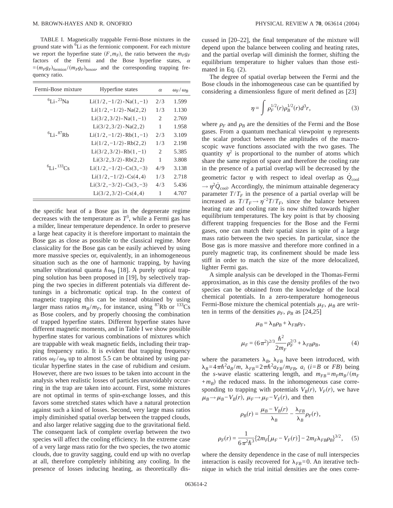TABLE I. Magnetically trappable Fermi-Bose mixtures in the ground state with  $\overline{6}$ Li as the fermionic component. For each mixture we report the hyperfine state  $(F, m_F)$ , the ratio between the  $m_F g_F$ factors of the Fermi and the Bose hyperfine states,  $\alpha$  $=(m_Fg_F)_{\text{fermion}}/(m_Fg_F)_{\text{boson}}$ , and the corresponding trapping frequency ratio.

| Fermi-Bose mixture           | Hyperfine states              | $\alpha$                      | $\omega_F/\omega_R$ |
|------------------------------|-------------------------------|-------------------------------|---------------------|
| ${}^{6}$ I i - ${}^{23}$ Na  | $Li(1/2,-1/2)$ -Na $(1,-1)$   | 2/3                           | 1.599               |
|                              | $Li(1/2,-1/2)$ -Na $(2,2)$    | 1/3                           | 1.130               |
|                              | $Li(3/2,3/2)$ -Na $(1,-1)$    | 2                             | 2.769               |
|                              | $Li(3/2,3/2)$ -Na $(2,2)$     | 1                             | 1.958               |
| ${}^{6}$ Li - ${}^{87}$ Rh   | $Li(1/2,-1/2)$ -Rb $(1,-1)$   | 2/3                           | 3.109               |
|                              | $Li(1/2,-1/2)$ -Rb $(2,2)$    | 1/3                           | 2.198               |
|                              | $Li(3/2,3/2)$ -Rb $(1,-1)$    | $\mathfrak{D}_{\mathfrak{p}}$ | 5.385               |
|                              | $Li(3/2,3/2) - Rb(2,2)$       | 1                             | 3.808               |
| ${}^{6}$ I i - ${}^{133}$ Cs | $Li(1/2,-1/2)$ -Cs $(3,-3)$   | 4/9                           | 3.138               |
|                              | $Li(1/2,-1/2)$ -Cs $(4,4)$    | 1/3                           | 2.718               |
|                              | $Li(3/2, -3/2)$ -Cs $(3, -3)$ | 4/3                           | 5.436               |
|                              | $Li(3/2,3/2)$ -Cs(4,4)        | 1                             | 4.707               |

the specific heat of a Bose gas in the degenerate regime decreases with the temperature as *T*<sup>3</sup> , while a Fermi gas has a milder, linear temperature dependence. In order to preserve a large heat capacity it is therefore important to maintain the Bose gas as close as possible to the classical regime. More classicality for the Bose gas can be easily achieved by using more massive species or, equivalently, in an inhomogeneous situation such as the one of harmonic trapping, by having smaller vibrational quanta  $\hbar \omega_B$  [18]. A purely optical trapping solution has been proposed in [19], by selectively trapping the two species in different potentials via different detunings in a bichromatic optical trap. In the context of magnetic trapping this can be instead obtained by using larger mass ratios  $m_B/m_F$ , for instance, using <sup>87</sup>Rb or <sup>133</sup>Cs as Bose coolers, and by properly choosing the combination of trapped hyperfine states. Different hyperfine states have different magnetic moments, and in Table I we show possible hyperfine states for various combinations of mixtures which are trappable with weak magnetic fields, including their trapping frequency ratio. It is evident that trapping frequency ratios  $\omega_F/\omega_B$  up to almost 5.5 can be obtained by using particular hyperfine states in the case of rubidium and cesium. However, there are two issues to be taken into account in the analysis when realistic losses of particles unavoidably occurring in the trap are taken into account. First, some mixtures are not optimal in terms of spin-exchange losses, and this favors some stretched states which have a natural protection against such a kind of losses. Second, very large mass ratios imply diminished spatial overlap between the trapped clouds, and also larger relative sagging due to the gravitational field. The consequent lack of complete overlap between the two species will affect the cooling efficiency. In the extreme case of a very large mass ratio for the two species, the two atomic clouds, due to gravity sagging, could end up with no overlap at all, therefore completely inhibiting any cooling. In the presence of losses inducing heating, as theoretically discussed in [20–22], the final temperature of the mixture will depend upon the balance between cooling and heating rates, and the partial overlap will diminish the former, shifting the equilibrium temperature to higher values than those estimated in Eq. (2).

The degree of spatial overlap between the Fermi and the Bose clouds in the inhomogeneous case can be quantified by considering a dimensionless figure of merit defined as [23]

$$
\eta = \int \rho_F^{1/2}(r)\rho_B^{1/2}(r)d^3r,\tag{3}
$$

where  $\rho_F$  and  $\rho_B$  are the densities of the Fermi and the Bose gases. From a quantum mechanical viewpoint  $\eta$  represents the scalar product between the amplitudes of the macroscopic wave functions associated with the two gases. The quantity  $\eta^2$  is proportional to the number of atoms which share the same region of space and therefore the cooling rate in the presence of a partial overlap will be decreased by the geometric factor  $\eta$  with respect to ideal overlap as  $Q_{\text{cool}}$  $\rightarrow \eta^2 \dot{Q}_{\text{cool}}$ . Accordingly, the minimum attainable degeneracy parameter  $T/T_F$  in the presence of a partial overlap will be increased as  $T/T_F \rightarrow \eta^{-2}T/T_F$ , since the balance between heating rate and cooling rate is now shifted towards higher equilibrium temperatures. The key point is that by choosing different trapping frequencies for the Bose and the Fermi gases, one can match their spatial sizes in spite of a large mass ratio between the two species. In particular, since the Bose gas is more massive and therefore more confined in a purely magnetic trap, its confinement should be made less stiff in order to match the size of the more delocalized, lighter Fermi gas.

A simple analysis can be developed in the Thomas-Fermi approximation, as in this case the density profiles of the two species can be obtained from the knowledge of the local chemical potentials. In a zero-temperature homogeneous Fermi-Bose mixture the chemical potentials  $\mu_F$ ,  $\mu_B$  are written in terms of the densities  $\rho_F$ ,  $\rho_B$  as [24,25]

$$
\mu_B = \lambda_B \rho_B + \lambda_{FB} \rho_F,
$$
  

$$
\mu_F = (6\pi^2)^{2/3} \frac{\hbar^2}{2m_F} \rho_F^{2/3} + \lambda_{FB} \rho_B,
$$
 (4)

where the parameters  $\lambda_B$ ,  $\lambda_{FB}$  have been introduced, with  $\lambda_B = 4 \pi \hbar^2 a_B / m$ ,  $\lambda_{FB} = 2 \pi \hbar^2 a_{FB} / m_{FB}$ ,  $a_i$  (*i*=*B* or *FB*) being the *s*-wave elastic scattering length, and  $m_{FB} = m_F m_B / (m_F)$  $+m_B$ ) the reduced mass. In the inhomogeneous case corresponding to trapping with potentials  $V_B(r)$ ,  $V_F(r)$ , we have  $\mu_B \rightarrow \mu_B - V_B(r)$ ,  $\mu_F \rightarrow \mu_F - V_F(r)$ , and then

$$
\rho_B(r) = \frac{\mu_B - V_B(r)}{\lambda_B} - \frac{\lambda_{FB}}{\lambda_B} \rho_F(r),
$$
  

$$
\rho_F(r) = \frac{1}{6\pi^2 h^3} \{ 2m_F [\mu_F - V_F(r)] - 2m_F \lambda_{FB} \rho_B \}^{3/2}, \quad (5)
$$

where the density dependence in the case of null interspecies interaction is easily recovered for  $\lambda_{FB}=0$ . An iterative technique in which the trial initial densities are the ones corre-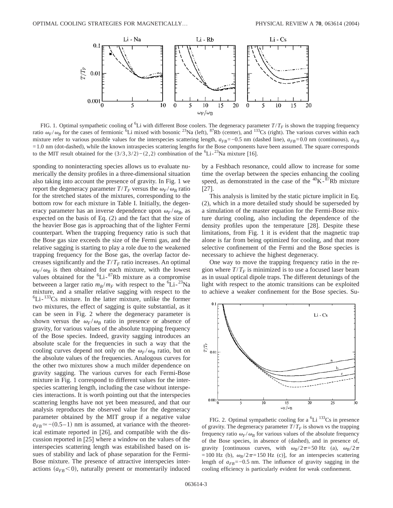

FIG. 1. Optimal sympathetic cooling of <sup>6</sup>Li with different Bose coolers. The degeneracy parameter  $T/T_F$  is shown the trapping frequency ratio  $\omega_F/\omega_B$  for the cases of fermionic <sup>6</sup>Li mixed with bosonic <sup>23</sup>Na (left), <sup>87</sup>Rb (center), and <sup>133</sup>Cs (right). The various curves within each mixture refer to various possible values for the interspecies scattering length,  $a_{FB}$ =−0.5 nm (dashed line),  $a_{FB}$ =0.0 nm (continuous),  $a_{FB}$ =1.0 nm (dot-dashed), while the known intraspecies scattering lengths for the Bose components have been assumed. The square corresponds to the MIT result obtained for the  $(3/3,3/2)-(2,2)$  combination of the <sup>6</sup>Li-<sup>23</sup>Na mixture [16].

sponding to noninteracting species allows us to evaluate numerically the density profiles in a three-dimensional situation also taking into account the presence of gravity. In Fig. 1 we report the degeneracy parameter  $T/T_F$  versus the  $\omega_F/\omega_B$  ratio for the stretched states of the mixtures, corresponding to the bottom row for each mixture in Table I. Initially, the degeneracy parameter has an inverse dependence upon  $\omega_F/\omega_B$ , as expected on the basis of Eq. (2) and the fact that the size of the heavier Bose gas is approaching that of the lighter Fermi counterpart. When the trapping frequency ratio is such that the Bose gas size exceeds the size of the Fermi gas, and the relative sagging is starting to play a role due to the weakened trapping frequency for the Bose gas, the overlap factor decreases significantly and the  $T/T_F$  ratio increases. An optimal  $\omega_F/\omega_B$  is then obtained for each mixture, with the lowest values obtained for the <sup>6</sup>Li-<sup>87</sup>Rb mixture as a compromise betweeen a larger ratio  $m_B/m_F$  with respect to the <sup>6</sup>Li-<sup>23</sup>Na mixture, and a smaller relative sagging with respect to the <sup>6</sup>Li-<sup>133</sup>Cs mixture. In the latter mixture, unlike the former two mixtures, the effect of sagging is quite substantial, as it can be seen in Fig. 2 where the degeneracy parameter is shown versus the  $\omega_F/\omega_B$  ratio in presence or absence of gravity, for various values of the absolute trapping frequency of the Bose species. Indeed, gravity sagging introduces an absolute scale for the frequencies in such a way that the cooling curves depend not only on the  $\omega_F/\omega_B$  ratio, but on the absolute values of the frequencies. Analogous curves for the other two mixtures show a much milder dependence on gravity sagging. The various curves for each Fermi-Bose mixture in Fig. 1 correspond to different values for the interspecies scattering length, including the case without interspecies interactions. It is worth pointing out that the interspecies scattering lengths have not yet been measured, and that our analysis reproduces the observed value for the degeneracy parameter obtained by the MIT group if a negative value  $a_{FB} \approx$ −(0.5–1) nm is assumed, at variance with the theoretical estimate reported in [26], and compatible with the discussion reported in [25] where a window on the values of the interspecies scattering length was estabilished based on issues of stability and lack of phase separation for the Fermi-Bose mixture. The presence of attractive interspecies interactions  $(a_{FB} < 0)$ , naturally present or momentarily induced by a Feshbach resonance, could allow to increase for some time the overlap between the species enhancing the cooling speed, as demonstrated in the case of the  ${}^{40}$ K $-{}^{87}$ Rb mixture [27].

This analysis is limited by the static picture implicit in Eq. (2), which in a more detailed study should be superseded by a simulation of the master equation for the Fermi-Bose mixture during cooling, also including the dependence of the density profiles upon the temperature [28]. Despite these limitations, from Fig. 1 it is evident that the magnetic trap alone is far from being optimized for cooling, and that more selective confinement of the Fermi and the Bose species is necessary to achieve the highest degeneracy.

One way to move the trapping frequency ratio in the region where  $T/T_F$  is minimized is to use a focused laser beam as in usual optical dipole traps. The different detunings of the light with respect to the atomic transitions can be exploited to achieve a weaker confinement for the Bose species. Su-



FIG. 2. Optimal sympathetic cooling for a  ${}^{6}Li$   $133Cs$  in presence of gravity. The degeneracy parameter  $T/T_F$  is shown vs the trapping frequency ratio  $\omega_F/\omega_B$  for various values of the absolute frequency of the Bose species, in absence of (dashed), and in presence of, gravity [continuous curves, with  $\omega_B/2\pi=50$  Hz (a),  $\omega_B/2\pi$ =100 Hz (b),  $\omega_B/2\pi$ =150 Hz (c)], for an interspecies scattering length of  $a_{FB}$ =−0.5 nm. The influence of gravity sagging in the cooling efficiency is particularly evident for weak confinement.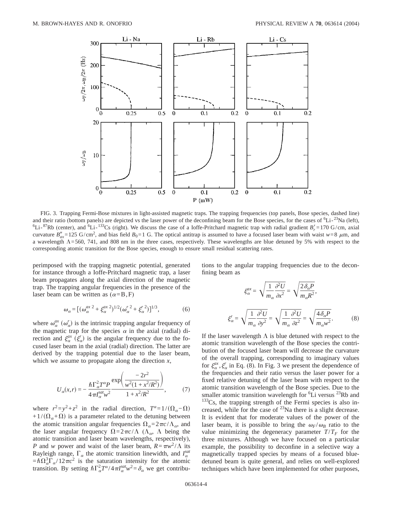

FIG. 3. Trapping Fermi-Bose mixtures in light-assisted magnetic traps. The trapping frequencies (top panels, Bose species, dashed line) and their ratio (bottom panels) are depicted vs the laser power of the deconfining beam for the Bose species, for the cases of  $6Li^{-23}Na$  (left),  $6f_1$ ;  $^{133}Cs$  (right), We discuss the case of a loffe Pritchard magnetic Li- ${}^{87}$ Rb (center), and  ${}^{6}$ Li- ${}^{133}$ Cs (right). We discuss the case of a Ioffe-Pritchard magnetic trap with radial gradient  $B'_r$  = 170 G/cm, axial curvature  $B_{\alpha}^{\prime\prime}$ =125 G/cm<sup>2</sup>, and bias field  $B_0$ =1 G. The optical antitrap is assumed to have a focused laser beam with waist  $w=8 \mu m$ , and a wavelength  $\Lambda$ =560, 741, and 808 nm in the three cases, respectively. These wavelengths are blue detuned by 5% with respect to the corresponding atomic transition for the Bose species, enough to ensure small residual scattering rates.

perimposed with the trapping magnetic potential, generated for instance through a Ioffe-Pritchard magnetic trap, a laser beam propagates along the axial direction of the magnetic trap. The trapping angular frequencies in the presence of the laser beam can be written as  $(\alpha = B, F)$ 

$$
\omega_{\alpha} = [(\omega_{\alpha}^{ax}{}^2 + \xi_{\alpha}^{ax}{}^2)^{1/2} (\omega_{\alpha}^{r}{}^2 + \xi_{\alpha}^{r}{}^2)]^{1/3}, \tag{6}
$$

where  $\omega_{\alpha}^{ax}$  ( $\omega_{\alpha}^{r}$ ) is the intrinsic trapping angular frequency of the magnetic trap for the species  $\alpha$  in the axial (radial) direction and  $\xi_{\alpha}^{ax}$   $(\xi_{\alpha}^{r})$  is the angular frequency due to the focused laser beam in the axial (radial) direction. The latter are derived by the trapping potential due to the laser beam, which we assume to propagate along the direction *x*,

$$
U_{\alpha}(x,r) = -\frac{\hbar \Gamma_{\alpha}^{2} T^{\alpha} P}{4\pi I_{\alpha}^{sat} w^{2}} \frac{\exp\left(\frac{-2r^{2}}{w^{2} (1 + x^{2}/R^{2})}\right)}{1 + x^{2}/R^{2}},
$$
(7)

where  $r^2 = y^2 + z^2$  in the radial direction,  $T^{\alpha} = 1/(\Omega_{\alpha} - \Omega)$ +1/ $(\Omega_{\alpha}+\Omega)$  is a parameter related to the detuning between the atomic transition angular frequencies  $\Omega_{\alpha}=2\pi c/\Lambda_{\alpha}$ , and the laser angular frequency  $\Omega = 2\pi c/\Lambda$  ( $\Lambda_{\alpha}$ ,  $\Lambda$  being the atomic transition and laser beam wavelengths, respectively), *P* and *w* power and waist of the laser beam,  $R = \pi w^2 / \Lambda$  its Rayleigh range,  $\Gamma_{\alpha}$  the atomic transition linewidth, and  $I_{\alpha}^{sat}$  $= \hbar \Omega_{\alpha}^{3} \Gamma_{\alpha} / 12 \pi c^{2}$  is the saturation intensity for the atomic transition. By setting  $\hbar \Gamma_\alpha^2 T^\alpha / 4 \pi I_\alpha^{sat} w^2 = \delta_\alpha$  we get contributions to the angular trapping frequencies due to the deconfining beam as

$$
\xi_{\alpha}^{ax} = \sqrt{\frac{1}{m_{\alpha}} \frac{\partial^2 U}{\partial x^2}} = \sqrt{\frac{2 \delta_{\alpha} P}{m_{\alpha} R^2}},
$$

$$
\xi_{\alpha}^r = \sqrt{\frac{1}{m_{\alpha}} \frac{\partial^2 U}{\partial y^2}} = \sqrt{\frac{1}{m_{\alpha}} \frac{\partial^2 U}{\partial z^2}} = \sqrt{\frac{4 \delta_{\alpha} P}{m_{\alpha} w^2}}.
$$
(8)

If the laser wavelength  $\Lambda$  is blue detuned with respect to the atomic transition wavelength of the Bose species the contribution of the focused laser beam will decrease the curvature of the overall trapping, corresponding to imaginary values for  $\xi_{\alpha}^{ax}$ ,  $\xi_{\alpha}^{r}$  in Eq. (8). In Fig. 3 we present the dependence of the frequencies and their ratio versus the laser power for a fixed relative detuning of the laser beam with respect to the atomic transition wavelength of the Bose species. Due to the smaller atomic transition wavelength for  ${}^{6}Li$  versus  ${}^{23}Rb$  and <sup>133</sup>Cs, the trapping strength of the Fermi species is also increased, while for the case of  $^{23}$ Na there is a slight decrease. It is evident that for moderate values of the power of the laser beam, it is possible to bring the  $\omega_F/\omega_B$  ratio to the value minimizing the degeneracy parameter  $T/T_F$  for the three mixtures. Although we have focused on a particular example, the possibility to deconfine in a selective way a magnetically trapped species by means of a focused bluedetuned beam is quite general, and relies on well-explored techniques which have been implemented for other purposes,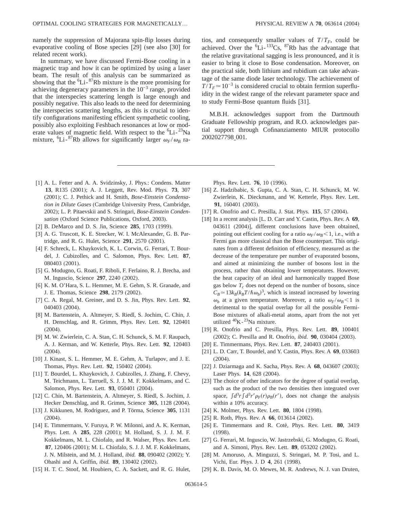namely the suppression of Majorana spin-flip losses during evaporative cooling of Bose species [29] (see also [30] for related recent work).

In summary, we have discussed Fermi-Bose cooling in a magnetic trap and how it can be optimized by using a laser beam. The result of this analysis can be summarized as showing that the  ${}^{6}Li-{}^{87}Rb$  mixture is the more promising for achieving degeneracy parameters in the  $10^{-3}$  range, provided that the interspecies scattering length is large enough and possibly negative. This also leads to the need for determining the interspecies scattering lengths, as this is crucial to identify configurations manifesting efficient sympathetic cooling, possibly also exploiting Feshbach resonances at low or moderate values of magnetic field. With respect to the  ${}^{6}Li-{}^{23}Na$ mixture,  ${}^{6}$ Li- ${}^{87}$ Rb allows for significantly larger  $\omega_F/\omega_B$  ratios, and consequently smaller values of  $T/T_F$ , could be achieved. Over the  ${}^{6}Li - {}^{133}Cs$ ,  ${}^{87}Rb$  has the advantage that the relative gravitational sagging is less pronounced, and it is easier to bring it close to Bose condensation. Moreover, on the practical side, both lithium and rubidium can take advantage of the same diode laser technology. The achievement of  $T/T_F \approx 10^{-3}$  is considered crucial to obtain fermion superfluidity in the widest range of the relevant parameter space and to study Fermi-Bose quantum fluids [31].

M.B.H. acknowledges support from the Dartmouth Graduate Fellowship program, and R.O. acknowledges partial support through Cofinanziamento MIUR protocollo 2002027798\_001.

- [1] A. L. Fetter and A. A. Svidzinsky, J. Phys.: Condens. Matter **13**, R135 (2001); A. J. Leggett, Rev. Mod. Phys. **73**, 307 (2001); C. J. Pethick and H. Smith, *Bose-Einstein Condensation in Dilute Gases* (Cambridge University Press, Cambridge, 2002); L. P. Pitaevskii and S. Stringari, *Bose-Einstein Condensation* (Oxford Science Publications, Oxford, 2003).
- [2] B. DeMarco and D. S. Jin, Science **285**, 1703 (1999).
- [3] A. G. Truscott, K. E. Strecker, W. I. McAlexander, G. B. Partridge, and R. G. Hulet, Science **291**, 2570 (2001).
- [4] F. Schreck, L. Khaykovich, K. L. Corwin, G. Ferrari, T. Bourdel, J. Cubizolles, and C. Salomon, Phys. Rev. Lett. **87**, 080403 (2001).
- [5] G. Modugno, G. Roati, F. Riboli, F. Ferlaino, R. J. Brecha, and M. Inguscio, Science **297**, 2240 (2002).
- [6] K. M. O'Hara, S. L. Hemmer, M. E. Gehm, S. R. Granade, and J. E. Thomas, Science **298**, 2179 (2002).
- [7] C. A. Regal, M. Greiner, and D. S. Jin, Phys. Rev. Lett. **92**, 040403 (2004).
- [8] M. Bartenstein, A. Altmeyer, S. Riedl, S. Jochim, C. Chin, J. H. Denschlag, and R. Grimm, Phys. Rev. Lett. **92**, 120401 (2004).
- [9] M. W. Zwierlein, C. A. Stan, C. H. Schunck, S. M. F. Raupach, A. J. Kerman, and W. Ketterle, Phys. Rev. Lett. **92**, 120403 (2004).
- [10] J. Kinast, S. L. Hemmer, M. E. Gehm, A. Turlapov, and J. E. Thomas, Phys. Rev. Lett. **92**, 150402 (2004).
- [11] T. Bourdel, L. Khaykovich, J. Cubizolles, J. Zhang, F. Chevy, M. Teichmann, L. Tarruell, S. J. J. M. F. Kokkelmans, and C. Salomon, Phys. Rev. Lett. **93**, 050401 (2004).
- [12] C. Chin, M. Bartenstein, A. Altmeyer, S. Riedl, S. Jochim, J. Hecker Denschlag, and R. Grimm, Science **305**, 1128 (2004).
- [13] J. Kikkunen, M. Rodriguez, and P. Törma, Science **305**, 1131 (2004).
- [14] E. Timmermans, V. Furuya, P. W. Milonni, and A. K. Kerman, Phys. Lett. A **285**, 228 (2001); M. Holland, S. J. J. M. F. Kokkelmans, M. L. Chiofalo, and R. Walser, Phys. Rev. Lett. **87**, 120406 (2001); M. L. Chiofalo, S. J. J. M. F. Kokkelmans, J. N. Milstein, and M. J. Holland, *ibid.* **88**, 090402 (2002); Y. Ohashi and A. Griffin, *ibid.* **89**, 130402 (2002).
- [15] H. T. C. Stoof, M. Houbiers, C. A. Sackett, and R. G. Hulet,

Phys. Rev. Lett. **76**, 10 (1996).

- [16] Z. Hadzibabic, S. Gupta, C. A. Stan, C. H. Schunck, M. W. Zwierlein, K. Dieckmann, and W. Ketterle, Phys. Rev. Lett. **91**, 160401 (2003).
- [17] R. Onofrio and C. Presilla, J. Stat. Phys. **115**, 57 (2004).
- [18] In a recent analysis [L. D. Carr and Y. Castin, Phys. Rev. A **69**, 043611 (2004)], different conclusions have been obtained, pointing out efficient cooling for a ratio  $\omega_F/\omega_B$ <1, i.e., with a Fermi gas more classical than the Bose counterpart. This originates from a different definition of efficiency, measured as the decrease of the temperature per number of evaporated bosons, and aimed at minimizing the number of bosons lost in the process, rather than obtaining lower temperatures. However, the heat capacity of an ideal and harmonically trapped Bose gas below  $T_c$  does not depend on the number of bosons, since  $C_B \approx 13k_B(k_BT/\hbar\omega_b)^3$ , which is instead increased by lowering  $\omega_b$  at a given temperature. Moreover, a ratio  $\omega_F/\omega_B$ <1 is detrimental to the spatial overlap for all the possible Fermi-Bose mixtures of alkali-metal atoms, apart from the not yet utilized <sup>40</sup>K-<sup>23</sup>Na mixture.
- [19] R. Onofrio and C. Presilla, Phys. Rev. Lett. **89**, 100401 (2002); C. Presilla and R. Onofrio, *ibid.* **90**, 030404 (2003).
- [20] E. Timmermans, Phys. Rev. Lett. **87**, 240403 (2001).
- [21] L. D. Carr, T. Bourdel, and Y. Castin, Phys. Rev. A **69**, 033603 (2004).
- [22] J. Dziarmaga and K. Sacha, Phys. Rev. A **68**, 043607 (2003); Laser Phys. **14**, 628 (2004).
- [23] The choice of other indicators for the degree of spatial overlap, such as the product of the two densities then integrated over space,  $\int d^3r \int d^3r' \rho_F(r) \rho_B(r')$ , does not change the analysis within a 10% accuracy.
- [24] K. Molmer, Phys. Rev. Lett. **80**, 1804 (1998).
- [25] R. Roth, Phys. Rev. A **66**, 013614 (2002).
- [26] E. Timmermans and R. Cotè, Phys. Rev. Lett. **80**, 3419 (1998).
- [27] G. Ferrari, M. Inguscio, W. Jastrzebski, G. Modugno, G. Roati, and A. Simoni, Phys. Rev. Lett. **89**, 053202 (2002).
- [28] M. Amoruso, A. Minguzzi, S. Stringari, M. P. Tosi, and L. Vichi, Eur. Phys. J. D **4**, 261 (1998).
- [29] K. B. Davis, M. O. Mewes, M. R. Andrews, N. J. van Druten,